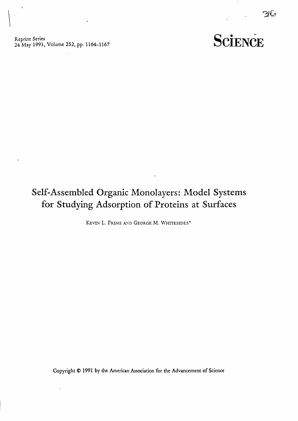Reprint Series<br>24 May 1991, Volume 252, pp. 1164-1167

 $\blacksquare$ 

 $\mathcal{F}_{\mathbf{q}}$ 

 $\overline{a}$ 

96

## Self-Assembled Organic Monolayers: Model Systems for Studying Adsorption of Proteins at Surfaces

KEVIN L. PRIME AND GEORGE M. WHITESIDES\*

Copyright © 1991 by the American Association for the Advancement of Science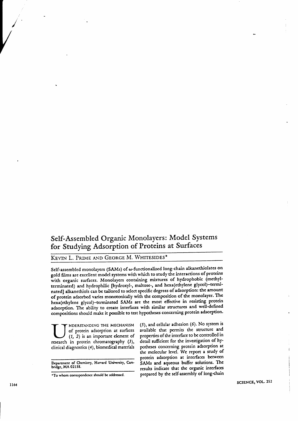## Self-Assembled Organic Monolayers: Model Systems for Studying Adsorption of Proteins at Surfaces

## KEVIN L. PRIME AND GEORGE M. WHITESIDES\*

Self-assembled monolayers (SAMs) of w-functionalized long-chain alkanethiolates on gold films are excellent model systems with which to study the interactions of proteins with organic surfaces. Monolayers containing mixtures of hydrophobic (methylterminated) and hydrophilic [hydroxyl-, maltose-, and hexa(ethylene glycol)-terminated] alkanethiols can be tailored to select specific degrees of adsorption: the amount of protein adsorbed varies monotonically with the composition of the monolayer. The hexa(ethylene glycol)-terminated SAMs are the most effective in resisting protein adsorption. The ability to create interfaces with similar structures and well-defined compositions should make it possible to test hypotheses concerning protein adsorption.

NDERSTANDING THE MECHANISM of protein adsorption at surfaces  $(1, 2)$  is an important element of research in protein chromatography (3), clinical diagnostics (4), biomedical materials

Department of Chemistry, Harvard University, Cam-<br>bridge, MA 02138.

\*To whom correspondence should be addressed.

(5), and cellular adhesion (6). No system is available that permits the structure and properties of the interface to be controlled in detail sufficient for the investigation of hypotheses concerning protein adsorption at the molecular level. We report a study of protein adsorption at interfaces between SAMs and aqueous buffer solutions. The results indicate that the organic interfaces prepared by the self-assembly of long-chain

SCIENCE, VOL. 252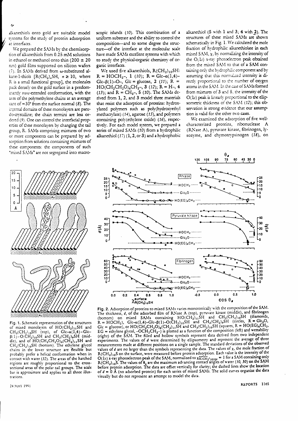alkanethiols onto gold are suitable model systems for the study of protein adsorption at interfaces.

We prepared the SAMs by the chemisorption of alkanethiols from 0.25 mM solutions in ethanol or methanol onto thin (200  $\pm$  20 nm) gold films supported on silicon wafers (7). In SAMs derived from w-substituted alkane-1-thiols  $[R(CH_2)_nSH, n \ge 10,$  where R is a small functional group], the molecules pack densely on the gold surface in a predominantly trans-extended conformation, with the axes of the polymethylene chains at an average cant of  $\approx 30^{\circ}$  from the surface normal (8). The internal domains of these monolayers are pseudo-crystalline; the chain termini are less ordered (9). One can control the interfacial properties of these monolavers by changing the tail group, R. SAMs comprising mixtures of two or more components can be prepared by adsorption from solutions containing mixtures of these components: the components of such "mixed SAMs" are not segregated into macroscopic islands (10). This combination of a uniform substrate and the ability to control the composition-and to some degree the structure-of the interface at the molecular scale have made SAMs excellent systems with which to study the physical-organic chemistry of organic interfaces.

We used five alkanethiols,  $R(CH_2)_{10}SH$ :  $R = HOCH<sub>2</sub>-, 1$  (10);  $R = Glc-\alpha(1,4)$ -Glc- $\beta(1)$ -O-, Glc = glucose, 2 (11); R =  $HO(CH_2CH_2O)_6CH_2-, 3$  (12); R = H-, 4 (13); and R = CH<sub>3</sub>-, 5 (10). The SAMs derived from 1, 2, and 3 model three materials that resist the adsorption of proteins: hydroxvlated polymers such as poly(hydroxyethyl methacrylate) (14), agarose (15), and polymers containing poly(ethylene oxide) (16), respectively. For each model system, we prepared a series of mixed SAMs (10) from a hydrophilic alkanethiol  $(17)$   $(1, 2,$  or 3) and a hydrophobic alkanethiol (5 with 1 and 3; 4 with 2). The structures of these mixed SAMs are shown schematically in Fig. 1. We calculated the mole fraction of hydrophilic alkanethiolate in each mixed SAM,  $\chi$ , by normalizing the intensity of the O(1s) x-ray photoelectron peak obtained from the mixed SAM to that of a SAM containing only the hydrophilic component and by assuming that this normalized intensity is directly proportional to the number of oxygen atoms in the SAM. In the case of SAMs formed from mixtures of 3 and 5, the intensity of the  $O(L)$  peak is linearly proportional to the ellipsometric thickness of the SAM (12); this observation is strong evidence that our assumption is valid for the other two cases.

We examined the adsorption of five wellcharacterized proteins, ribonuclease A (RNase A), pyruvate kinase, fibrinogen, lysozvme, and chymotrypsinogen (18), on



Fig. 1. Schematic representation of the structures of mixed monolayers of HO(CH2)11SH and CH<sub>3</sub>(CH<sub>2</sub>)<sub>10</sub>SH (top), of Glc- $\alpha(1,4)$ -Glc-<br> $\beta(1)$ -O(CH<sub>2</sub>)<sub>10</sub>SH and CH<sub>3</sub>(CH<sub>2</sub>)<sub>9</sub>SH (middle), and of  $HO(CH_2CH_2O)_6(CH_2)_{11}SH$  and  $CH<sub>3</sub>(CH<sub>2</sub>)<sub>10</sub>SH$  (bortom). The ethylene glycol chains in the lower structure are flexible but probably prefer a helical conformation when in contact with water (32). The areas of the hatched regions are roughly proportional to the crosssectional areas of the polar tail groups. The scale bar is approximate and applies to all three illustrations.

24 MAY 1991



Fig. 2. Adsorption of proteins to mixed SAMs varies monotonically with the composition of the SAM. The thickness, d, of the adsorbed film of RNase A (top), pyruvate kinase (middle), and fibrinogen<br>(bortom) on mixed SAMs containing  $HO(CH_2)_{11}SH$  and  $CH_3(CH_2)_{10}SH$  (diamonds,<br> $R = HOCH_2$ ),  $Gl = \alpha(1,4) - Gl = \beta(1) - O(CH_2)_{10}SH$  and  $G_1 = 100$  (Equator), or  $HO(CH_2CH_2O)_6(CH_2)_{11}SH$  and  $CH_3(CH_2)_{10}SH$  (squares,  $R = HO(EG)_6CH_2$ ,  $EG =$  ethylene glycol,  $-OCH_2CH_2$ ) is plotted as a function of the composition (left) and wettability (right) of the SAM. The filled and hollow symbols represent data derived from two independent experiments. The values of d were determined by ellipsometry and represent the average of three measurements made at different positions on a single sample. The standard deviations of the observed values of  $d$  are no larger than the symbols representing the data. The values of  $x$ , the mole fraction of R(CH<sub>2</sub>)<sub>10</sub>S on the surface, were measured before protein adsorption. Each value is the intensity of the  $O(1s)$  x-ray photoelectron peak of the SAM, normalized to  $\chi_{N(CH_2)}^{N(CH_2)}_{10SH}$  = 1 for a SAM containing only R(CH<sub>2</sub>)<sub>105</sub>. The values of  $\theta_a$  are the maximum advancing contact angles of water (10, 30) on the SAM before protein adsorption. The data are offset vertically for clarity; the dashed lines show the location of  $d = 0$  Å (no adsorbed protein) for each series of mixed SAMs. The solid curves organize the data visually but do not represent an attempt to model the data.

REPORTS 1165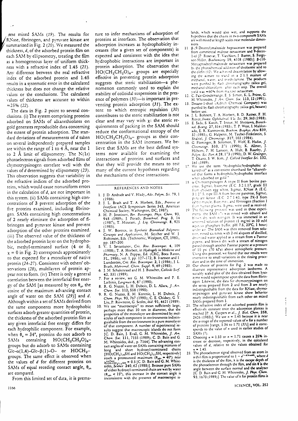Aese mixed SAMs (19). The results for RNase, fibrinogen, and pyruvate kinase are summarized in Fig. 2 (20). We measured the thickness, d, of the adsorbed protein film on each SAM by ellipsometry, treating the film as a homogeneous laver of uniform thickness with a refractive index of 1.45 (21). Any difference between the real refractive index of the adsorbed protein and 1.45 results in a systematic error in the calculated thickness but does not change the relative values or the conclusions. The calculated values of thickness are accurate to within  $\approx$  25% (22).

The data in Fig. 2 point to several conclusions. (i) The system comprising proteins adsorbed on SAMs of alkanethiolates on gold generates reproducible data concerning the extent of protein adsorption. The standard deviations of measurements of d taken on several independently prepared samples are within the range of  $1$  to  $4$  Å, near the  $1$ to 2 Å limit of ellipsometry. The  $N(1s)$ photoelectron signals from adsorbed films of chymotrypsinogen correlate well with the values of *d* determined by ellipsometry (23). This observation suggests that variability in the refractive indices of the adsorbed proteins, which would cause nonuniform errors in the calculation of  $d$ , are not important in this system. (ii) SAMs containing high concentrations of 3 prevent adsorption of the five proteins examined, including fibrinogen. SAMs containing high concentrations of 2 nearly eliminate the adsorption of fibrinogen and pyruvate kinase and prevent adsorption of the other proteins examined. (iii) The observed value of the thickness of the adsorbed protein laver on the hydrophobic, methyl-terminated surface (4 or 5;  $x = 0$  in Fig. 2) corresponds approximately to that expected for a monolayer of native protein (24-27). Consistent with others' observations (28), multilayers of protein appear not to form. (iv) There is only a general correlation between the interfacial free energy of the SAM [as measured by cos  $\theta_2$ , the cosine of the maximum advancing contact angle of water on the SAM (29)] and d. Although within a set of SAMs derived from the same components more hydrophobic surfaces adsorb greater quantities of protein, the thickness of the adsorbed protein film at any given interfacial free energy differs for each hydrophilic component. For example, when  $\theta_a = 34^\circ$ , proteins do not adsorb to containing HO(CH<sub>2</sub>CH<sub>2</sub>O)<sub>6</sub>-SAM<sub>s</sub> groups but do adsorb to SAMs containing  $G/c-\alpha(1,4)-G/c-\beta(1)-O$ - or  $HOCH_{2}$ groups. The same effect is observed when the values of d for different proteins on SAMs of equal receding contact angle,  $\theta_{n}$ are compared.

From this limited set of data, it is prema-

ture to infer mechanisms of adsorption of proteins at interfaces. The observation that adsorption increases as hydrophobicity increases (for a given set of components) is expected and consistent with the idea that hydrophobic interactions are important in protein adsorption. The observation that  $HO(CH_2CH_2O)_{6}$ - groups are especially effective in preventing protein adsorption suggests that steric stabilization-a phenomenon commonly used to explain the stability of colloidal suspensions in the presence of polymers (30)-is important in preventing protein adsorption (31). The extent to which entropic repulsion (30) contributes to the steric stabilization is not clear and may vary with  $x$ : the steric requirements of packing in the SAM should reduce the conformational entropy of the HO(CH<sub>2</sub>CH<sub>2</sub>O)<sup>6-</sup> groups as their concentration in the SAM increases. We believe that SAMs are the best defined systems now available for examining the interactions of proteins and surfaces and that they will provide the means to test many of the current hypotheses regarding the mechanisms of these interactions.

## REFERENCES AND NOTES

- 1. J. D. Andrade and V. Hlady, Adv. Polym. Sci. 79, 1  $(1986)$
- 2. J. L. Brash and T. A. Horbert, Eds., Proteins at Interfaces (ACS Symposium Series 343, American Chemical Society, Washington, DC, 1987)
- 3. H. P. Jennissen, *Ber. Bunsenges. Phys. Chem.* 93, 948 (1989); J. Porath, *Biotechnol. Prog.* 3, 14 (1987); T. Mizutani, *J. Liq. Chromatogr.* 8, 925  $(1985)$
- 4. J. W. Boretos, in Symbetic Biomedical Polymers:<br>Concepts and Applications, M. Szycher and W. J.<br>Robinson, Eds. (Technomic, Westport, CT, 1980),  $\frac{1}{5}$ , Pp. 187-200.
- I. Sevastianov, Crit. Rev. Biocompat. 4, 109 (1988); T. A. Horbert, in Hydrogels in Medicine and<br>Pharmacy, N. A. Peppas, Ed. (CRC, Boca Raton, FL, 1986), vol. 1, pp. 127-172; B. Ivarsson and I. Lundström, Crit. Rev. Biocompat. 2, 1 (1986); J. L.<br>Brash, Makromol. Chem. Suppl. 9, 69 (1985).<br>6. J. M. Schakenraad and H. J. Busscher, Colloids Surf.
- 42, 331 (1989).
- 7. For a review, see G. M. Whitesides and P. E. Laibinis, Langmuir 6, 87 (1990).
- 8. R. G. Nuzzo, L. H. Dubois, D. L. Allara, J. Am.
- Chem. Soc. 112, 558 (1990).<br>
9. R. G. Nuzzo, E. M. Korenic, L. H. Dubois, J. Chem. Phys. 93, 767 (1990); C. E. Chidsey, G. Y.
- Liu, P. Rowntree, G. Scoles, ibid. 91, 4421 (1989).<br>10. We use "macroscopic" to mean sufficiently large,<br>perhaps more than 10 nm in diameter, that the properties of the monolayer are determined by molecules of each component in environments indistinguishable from the environment in a pure monolayer of that component. A number of experimental reor that component. A number of experimental results suggest that macroscopic islands do not form.<br>[C. D. Bain, J. Evall, G. M. Whitesides,  $J. Am$ .<br>Chem. Soc. 111, 7155 (1989); C. D. Bain and G.<br>M. Whitesides, ibid., p. 71 and short hydroxyl-terminated chains long  $[HO(CH_2)_1, SH$  and  $HO(CH_2)_{11}SH$ , respectively] reach a pronounced maximum (0.4. + 40°) near<br>reach a pronounced maximum (0.4. + 40°) near<br>reach a pronounced maximum (0.4. + 40°) near<br>sides, Science 240, 62 (1988)]. Because pure SAMs<br>of either hydroxyl-terminated chain a  $(\theta_{adv} < 15^{\circ})$ , this increase in the contact angle is inconsistent with the presence of macroscopic is-

lands, which would also wet, and supports the hypothesis that the chains in two-component SAMs are well mixed at length scales near molecular dimensions

- B-(9-Decenvl)maltoside heptaacetate was prepared  $11$ from commercial maltose octaacetate and 9-decen-1-of [P. Rosevar, T. VanAken, J. Baxter, S. Ferguson-Miller, Biochemistry 19, 4108 (1980)]. B-(10by the photochemical addition of thiolacetic acid to<br>the olefin (12). We achieved deacetylation by allowing the acetate to stand in a 2:1:1 mixture of ing the actual the first internal technical mechanics. The products<br>were purified by flash chromatography (silica gel,<br>mechanol-chloroform: after each step. The overall yield was =60% from maitose octaacetate.
- 12. C. Pale-Grosdemange, E. S. Simon, K. L. Prime, G.
- M. Whitesides, J. Am. Chem. Soc. 113, 12 (1991).<br>13. Decane-1-thiol (Aldrich Chemical Company) was purified by flash chromatography (silica gel, hexane) before use.
- J. L. Bohnert, T. A. Horbert, B. D. Ratner, F. H.<br>Royce, Invest. Ophthalmol. Vu. Sci. 29, 363 (1988).  $14.$
- 15. E. Sada, S. Katoh, T. Inoue, M. Shiozawa, Biotechnol. Bioeng. 27, 514 (1985); T. P. West, I. Maldon-<br>ado, E. R. Kantrowitz, Biochim. Biophys. Acta 839,
- ado, E. R. Kantrowitz, *Biochim. Biophys. Acta* 839,<br>32 (1985); G. Halperin, M. Tauber-Finkelstein, S.<br>Shalickl, *J. Chromatogr.* 317, 103 (1984).<br>16. G. Fleminger, B. Solomon, T. Wolf, E. Hadas, *J.*<br>Chromatogr. 510, 271 161 (1989).
- 17. We use the term "hydrophilic/hydrophobic al-<br>kanethiol" as a convenient shorthand for "alkanethjol that forms a hydrophilic/hydrophobic interface when adsorbed on gold.
- 18 a. Chymotrypsinogen A (type II from bovine pan-- 111 From chicken egg white, Sigma), RNase A (E.C.<br>3.1.27.5, type III.A from bovine panereas, Sigma), pyrocare kinase (E.C. 2.7.1.40, type PK-3. from rabbit muscle, Biozymei, and fibrinogen (fraction I
- From human plasma. Sigma, were used as received.<br>The following protecol was used in these experiments the SAM (7) was nised with ethanol and  $19$ ments the activity with an investmental in an biological scheme and protein (1 mg/ml in 10 mM<br>unstered solution of protein (1 mg/ml in 10 mM<br>aquecus phosphare buffer, pH 7.5, 23°C, 1 hour)<br>under air. The SAM was then remov tion, rinsed six times with 2-ml aliquots of distilled, deionized water applied as a stream from a Pasteur piperte, and blown dry with a stream of nitrogen passed through another Pasteur pipette at a pressure of 10 psi (70 kPa) above atmospheric pressure. Using this protocol, we found that our results were insensitive to small variations in the rinsing procedure and in the time of immersion.
- 20. Our choice of proteins for Fig. 2 was made to illustrate representative adsorption isotherms. A suitably scaled plot of the data obtained from lysozyme would superimpose upon the data from fibrinogen. Likewise, the data for chymotrypsinogen on the series prepared from 2 and from 3 are nearly indistinguishable from the data for RNase; chymotrypsinogen and pyruvate kinase show behavior nearly indistinguishable from each other on mixed SAMs prepared from 1.
- 21. The refractive index of an adsorbed protein film is effectively constant once the adsorption plateau is reached [P. A. Cuypers et al.,  $J$ . Biol. Chem. 258,<br>2426 (1983)]. We use  $n = 1.45$  because it is near the average of the reported values of n for a number<br>of proteins [range, 1.34 to 1.71 (33)] and it corresponds to the value of *n* used in earlier studies of **SAMs** (7).
- 22. Choosing  $n = 1.33$  or  $n = 1.71$  causes a 25% in-<br>crease or decrease, respectively, in the calculated values of d, relative to the values obtained for  $= 1.45$ .
- The photoelectron signal observed from an atom in<br>a thin film is proportional to  $1 e^{(-d/\Delta \tan \theta)}$ , where d is the thickness of the film,  $\lambda$  is the escape depth of<br>the photoelectron through the film, and sin 0 is the angle between the surface normal and the analyzer<br>[C. D. Bain and G. M. Whitesides, J. Phys. Chem. 93, 1670 (1989)]. The value of A for protein films is

SCIENCE, VOL. 252